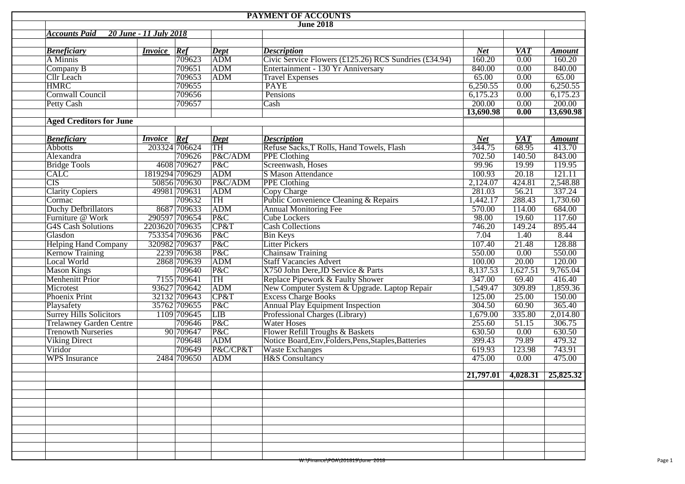| PAYMENT OF ACCOUNTS                                  |                        |                |                      |                                                                         |            |                                |               |  |  |  |  |  |  |
|------------------------------------------------------|------------------------|----------------|----------------------|-------------------------------------------------------------------------|------------|--------------------------------|---------------|--|--|--|--|--|--|
| <b>June 2018</b>                                     |                        |                |                      |                                                                         |            |                                |               |  |  |  |  |  |  |
| <b>Accounts Paid</b>                                 | 20 June - 11 July 2018 |                |                      |                                                                         |            |                                |               |  |  |  |  |  |  |
|                                                      |                        |                |                      |                                                                         |            |                                |               |  |  |  |  |  |  |
| <b>Beneficiary</b>                                   | <b>Invoice</b>         | Ref            | $\boldsymbol{Depth}$ | <b>Description</b>                                                      | <b>Net</b> | <b>VAT</b>                     | <b>Amount</b> |  |  |  |  |  |  |
| A Minnis                                             |                        | 709623         | ADM                  | Civic Service Flowers (£125.26) RCS Sundries (£34.94)<br>160.20<br>0.00 |            | 160.20                         |               |  |  |  |  |  |  |
| Company B                                            |                        | 709651         | <b>ADM</b>           | Entertainment - 130 Yr Anniversary                                      | 840.00     | 0.00                           | 840.00        |  |  |  |  |  |  |
| <b>Cllr</b> Leach                                    |                        | 709653         | <b>ADM</b>           | 65.00<br>65.00<br>0.00<br><b>Travel Expenses</b>                        |            |                                |               |  |  |  |  |  |  |
| <b>HMRC</b>                                          |                        | 709655         |                      | <b>PAYE</b><br>6,250.55<br>6,250.55<br>0.00                             |            |                                |               |  |  |  |  |  |  |
| Cornwall Council                                     |                        | 709656         |                      | Pensions                                                                | 6,175.23   | 0.00                           | 6,175.23      |  |  |  |  |  |  |
| Petty Cash                                           |                        | 709657         |                      | Cash                                                                    | 200.00     | 0.00                           | 200.00        |  |  |  |  |  |  |
|                                                      |                        |                |                      |                                                                         | 13,690.98  | 0.00                           | 13,690.98     |  |  |  |  |  |  |
| <b>Aged Creditors for June</b>                       |                        |                |                      |                                                                         |            |                                |               |  |  |  |  |  |  |
|                                                      |                        |                |                      |                                                                         |            |                                |               |  |  |  |  |  |  |
| <b>Beneficiary</b>                                   | <i>Invoice</i>         | Ref            | Dept                 | <b>Description</b>                                                      | <b>Net</b> | $\overline{VAT}$               | <b>Amount</b> |  |  |  |  |  |  |
| <b>Abbotts</b>                                       |                        | 203324 706624  | $\overline{TH}$      | Refuse Sacks, T Rolls, Hand Towels, Flash                               | 344.75     | 68.95                          | 413.70        |  |  |  |  |  |  |
| Alexandra                                            |                        | 709626         | P&C/ADM              | <b>PPE Clothing</b>                                                     | 702.50     | 140.50                         | 843.00        |  |  |  |  |  |  |
| <b>Bridge Tools</b>                                  |                        | 4608 709627    | P&C                  | Screenwash, Hoses                                                       | 99.96      | 19.99                          | 119.95        |  |  |  |  |  |  |
| <b>CALC</b>                                          |                        | 1819294 709629 | ADM                  | <b>S Mason Attendance</b>                                               | 100.93     | 20.18                          | 121.11        |  |  |  |  |  |  |
| <b>CIS</b>                                           |                        | 50856 709630   | P&C/ADM              | PPE Clothing                                                            | 2,124.07   | 424.81                         | 2,548.88      |  |  |  |  |  |  |
| <b>Clarity Copiers</b>                               |                        | 49981 709631   | <b>ADM</b>           | <b>Copy Charge</b>                                                      | 281.03     | 56.21                          | 337.24        |  |  |  |  |  |  |
| Cormac                                               |                        | 709632         | TH                   | Public Convenience Cleaning & Repairs                                   | 1,442.17   | 288.43                         | 1,730.60      |  |  |  |  |  |  |
| <b>Duchy Defbrillators</b>                           |                        | 8687 709633    | ADM                  | <b>Annual Monitoring Fee</b>                                            | 570.00     | 114.00                         | 684.00        |  |  |  |  |  |  |
| Furniture @ Work                                     |                        | 290597 709654  | P&C                  | <b>Cube Lockers</b>                                                     | 98.00      | 19.60                          | 117.60        |  |  |  |  |  |  |
| <b>G4S Cash Solutions</b>                            | 2203620 709635         |                | CP&T                 | <b>Cash Collections</b>                                                 | 746.20     | 149.24                         | 895.44        |  |  |  |  |  |  |
| Glasdon                                              |                        | 753354 709636  | P&C                  | <b>Bin Keys</b>                                                         | 7.04       | 1.40                           | 8.44          |  |  |  |  |  |  |
| <b>Helping Hand Company</b>                          |                        | 320982 709637  | P&C                  | <b>Litter Pickers</b>                                                   | 107.40     | 21.48                          | 128.88        |  |  |  |  |  |  |
| <b>Kernow Training</b>                               |                        | 2239 709638    | P&C                  | <b>Chainsaw Training</b>                                                | 550.00     | 0.00                           | 550.00        |  |  |  |  |  |  |
| Local World                                          |                        | 2868 709639    | <b>ADM</b>           | <b>Staff Vacancies Advert</b>                                           | 100.00     | 20.00                          | 120.00        |  |  |  |  |  |  |
| <b>Mason Kings</b>                                   |                        | 709640         | P&C                  | X750 John Dere, JD Service & Parts                                      | 8,137.53   | 1,627.51                       | 9,765.04      |  |  |  |  |  |  |
| Menhenitt Prior                                      |                        | 7155 709641    | TH                   | Replace Pipework & Faulty Shower                                        | 347.00     | 69.40                          | 416.40        |  |  |  |  |  |  |
| Microtest                                            |                        | 93627 709642   | <b>ADM</b>           | New Computer System & Upgrade. Laptop Repair                            | 1,549.47   | 309.89                         | 1,859.36      |  |  |  |  |  |  |
| Phoenix Print                                        |                        | 32132 709643   | CP&T                 | <b>Excess Charge Books</b>                                              | 125.00     | 25.00                          | 150.00        |  |  |  |  |  |  |
| Playsafety                                           |                        | 35762 709655   | P&C                  | <b>Annual Play Equipment Inspection</b>                                 | 304.50     | 60.90                          | 365.40        |  |  |  |  |  |  |
|                                                      |                        | 1109 709645    | LIB                  |                                                                         | 1,679.00   | 335.80                         |               |  |  |  |  |  |  |
| <b>Surrey Hills Solicitors</b>                       |                        |                |                      | Professional Charges (Library)                                          |            |                                | 2,014.80      |  |  |  |  |  |  |
| <b>Trelawney Garden Centre</b><br>Trenowth Nurseries |                        | 709646         | P&C                  | <b>Water Hoses</b>                                                      | 255.60     | 51.15                          | 306.75        |  |  |  |  |  |  |
|                                                      |                        | 90 709 647     | P&C                  | Flower Refill Troughs & Baskets                                         | 630.50     | 0.00                           | 630.50        |  |  |  |  |  |  |
| <b>Viking Direct</b>                                 |                        | 709648         | ADM                  | Notice Board, Env, Folders, Pens, Staples, Batteries                    | 399.43     | 79.89                          | 479.32        |  |  |  |  |  |  |
| Viridor                                              |                        | 709649         | P&C/CP&T             | <b>Waste Exchanges</b>                                                  | 619.93     | 123.98                         | 743.91        |  |  |  |  |  |  |
| <b>WPS</b> Insurance                                 |                        | 2484 709650    | <b>ADM</b>           | <b>H&amp;S</b> Consultancy                                              | 475.00     | 0.00                           | 475.00        |  |  |  |  |  |  |
|                                                      |                        |                |                      |                                                                         |            | $21,797.01$ 4,028.31 25,825.32 |               |  |  |  |  |  |  |
|                                                      |                        |                |                      |                                                                         |            |                                |               |  |  |  |  |  |  |
|                                                      |                        |                |                      |                                                                         |            |                                |               |  |  |  |  |  |  |
|                                                      |                        |                |                      |                                                                         |            |                                |               |  |  |  |  |  |  |
|                                                      |                        |                |                      |                                                                         |            |                                |               |  |  |  |  |  |  |
|                                                      |                        |                |                      |                                                                         |            |                                |               |  |  |  |  |  |  |
|                                                      |                        |                |                      |                                                                         |            |                                |               |  |  |  |  |  |  |
|                                                      |                        |                |                      |                                                                         |            |                                |               |  |  |  |  |  |  |
|                                                      |                        |                |                      |                                                                         |            |                                |               |  |  |  |  |  |  |
|                                                      |                        |                |                      | <del>W:\Finance\POA\201819\June 2018</del>                              |            |                                |               |  |  |  |  |  |  |